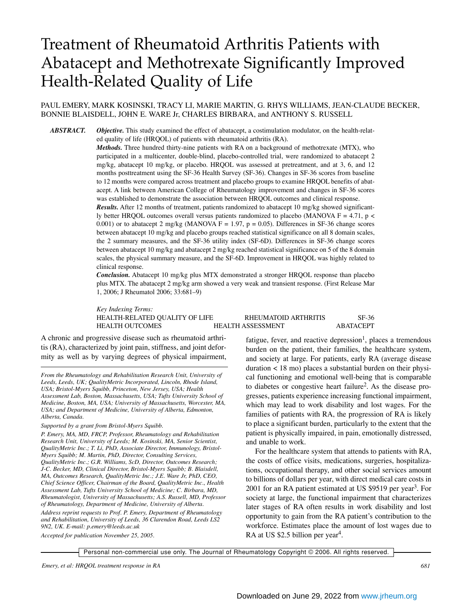# Treatment of Rheumatoid Arthritis Patients with Abatacept and Methotrexate Significantly Improved Health-Related Quality of Life

# PAUL EMERY, MARK KOSINSKI, TRACY LI, MARIE MARTIN, G. RHYS WILLIAMS, JEAN-CLAUDE BECKER, BONNIE BLAISDELL, JOHN E. WARE Jr, CHARLES BIRBARA, and ANTHONY S. RUSSELL

*ABSTRACT. Objective.* This study examined the effect of abatacept, a costimulation modulator, on the health-related quality of life (HRQOL) of patients with rheumatoid arthritis (RA).

> *Methods.* Three hundred thirty-nine patients with RA on a background of methotrexate (MTX), who participated in a multicenter, double-blind, placebo-controlled trial, were randomized to abatacept 2 mg/kg, abatacept 10 mg/kg, or placebo. HRQOL was assessed at pretreatment, and at 3, 6, and 12 months posttreatment using the SF-36 Health Survey (SF-36). Changes in SF-36 scores from baseline to 12 months were compared across treatment and placebo groups to examine HRQOL benefits of abatacept. A link between American College of Rheumatology improvement and changes in SF-36 scores was established to demonstrate the association between HRQOL outcomes and clinical response.

> *Results.* After 12 months of treatment, patients randomized to abatacept 10 mg/kg showed significantly better HRQOL outcomes overall versus patients randomized to placebo (MANOVA  $F = 4.71$ , p < 0.001) or to abatacept 2 mg/kg (MANOVA  $F = 1.97$ ,  $p = 0.05$ ). Differences in SF-36 change scores between abatacept 10 mg/kg and placebo groups reached statistical significance on all 8 domain scales, the 2 summary measures, and the SF-36 utility index (SF-6D). Differences in SF-36 change scores between abatacept 10 mg/kg and abatacept 2 mg/kg reached statistical significance on 5 of the 8 domain scales, the physical summary measure, and the SF-6D. Improvement in HRQOL was highly related to clinical response.

> *Conclusion.* Abatacept 10 mg/kg plus MTX demonstrated a stronger HRQOL response than placebo plus MTX. The abatacept 2 mg/kg arm showed a very weak and transient response. (First Release Mar 1, 2006; J Rheumatol 2006; 33:681–9)

> *Key Indexing Terms:*  HEALTH-RELATED QUALITY OF LIFE RHEUMATOID ARTHRITIS SF-36 HEALTH OUTCOMES HEALTH ASSESSMENT ABATACEPT

A chronic and progressive disease such as rheumatoid arthritis (RA), characterized by joint pain, stiffness, and joint deformity as well as by varying degrees of physical impairment,

*From the Rheumatology and Rehabilitation Research Unit, University of Leeds, Leeds, UK; QualityMetric Incorporated, Lincoln, Rhode Island, USA; Bristol-Myers Squibb, Princeton, New Jersey, USA; Health Assessment Lab, Boston, Massachusetts, USA; Tufts University School of Medicine, Boston, MA, USA; University of Massachusetts, Worcester, MA, USA; and Department of Medicine, University of Alberta, Edmonton, Alberta, Canada.*

*Supported by a grant from Bristol-Myers Squibb.*

*P. Emery, MA, MD, FRCP, Professor, Rheumatology and Rehabilitation Research Unit, University of Leeds; M. Kosinski, MA, Senior Scientist, QualityMetric Inc.; T. Li, PhD, Associate Director, Immunology, Bristol-Myers Squibb; M. Martin, PhD, Director, Consulting Services, QualityMetric Inc.; G.R. Williams, ScD, Director, Outcomes Research; J-C. Becker, MD, Clinical Director, Bristol-Myers Squibb; B. Blaisdell, MA, Outcomes Research, QualityMetric Inc.; J.E. Ware Jr, PhD, CEO, Chief Science Officer, Chairman of the Board, QualityMetric Inc., Health Assessment Lab, Tufts University School of Medicine; C. Birbara, MD, Rheumatologist, University of Massachusetts; A.S. Russell, MD, Professor of Rheumatology, Department of Medicine, University of Alberta. Address reprint requests to Prof. P. Emery, Department of Rheumatology and Rehabilitation, University of Leeds, 36 Clarendon Road, Leeds LS2*

*9N2, UK. E-mail: p.emery@leeds.ac.uk*

*Accepted for publication November 25, 2005.*

fatigue, fever, and reactive depression<sup>1</sup>, places a tremendous burden on the patient, their families, the healthcare system, and society at large. For patients, early RA (average disease duration < 18 mo) places a substantial burden on their physical functioning and emotional well-being that is comparable to diabetes or congestive heart failure2. As the disease progresses, patients experience increasing functional impairment, which may lead to work disability and lost wages. For the families of patients with RA, the progression of RA is likely to place a significant burden, particularly to the extent that the patient is physically impaired, in pain, emotionally distressed, and unable to work.

For the healthcare system that attends to patients with RA, the costs of office visits, medications, surgeries, hospitalizations, occupational therapy, and other social services amount to billions of dollars per year, with direct medical care costs in 2001 for an RA patient estimated at US \$9519 per year<sup>3</sup>. For society at large, the functional impairment that characterizes later stages of RA often results in work disability and lost opportunity to gain from the RA patient's contribution to the workforce. Estimates place the amount of lost wages due to RA at US \$2.5 billion per year<sup>4</sup>.

Personal non-commercial use only. The Journal of Rheumatology Copyright © 2006. All rights reserved.

*Emery, et al: HRQOL treatment response in RA 681*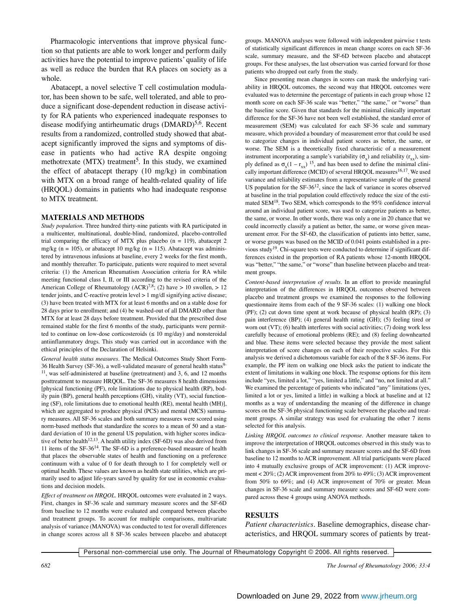Pharmacologic interventions that improve physical function so that patients are able to work longer and perform daily activities have the potential to improve patients' quality of life as well as reduce the burden that RA places on society as a whole.

Abatacept, a novel selective T cell costimulation modulator, has been shown to be safe, well tolerated, and able to produce a significant dose-dependent reduction in disease activity for RA patients who experienced inadequate responses to disease modifying antirheumatic drugs  $(DMARD)^{5,6}$ . Recent results from a randomized, controlled study showed that abatacept significantly improved the signs and symptoms of disease in patients who had active RA despite ongoing methotrexate (MTX) treatment<sup>5</sup>. In this study, we examined the effect of abatacept therapy (10 mg/kg) in combination with MTX on a broad range of health-related quality of life (HRQOL) domains in patients who had inadequate response to MTX treatment.

#### **MATERIALS AND METHODS**

*Study population.* Three hundred thirty-nine patients with RA participated in a multicenter, multinational, double-blind, randomized, placebo-controlled trial comparing the efficacy of MTX plus placebo (n = 119), abatacept 2 mg/kg (n = 105), or abatacept 10 mg/kg (n = 115). Abatacept was administered by intravenous infusions at baseline, every 2 weeks for the first month, and monthly thereafter. To participate, patients were required to meet several criteria: (1) the American Rheumatism Association criteria for RA while meeting functional class I, II, or III according to the revised criteria of the American College of Rheumatology (ACR)<sup>7,8</sup>; (2) have > 10 swollen, > 12 tender joints, and C-reactive protein level > 1 mg/dl signifying active disease; (3) have been treated with MTX for at least 6 months and on a stable dose for 28 days prior to enrollment; and (4) be washed-out of all DMARD other than MTX for at least 28 days before treatment. Provided that the prescribed dose remained stable for the first 6 months of the study, participants were permitted to continue on low-dose corticosteroids ( $\leq 10$  mg/day) and nonsteroidal antiinflammatory drugs. This study was carried out in accordance with the ethical principles of the Declaration of Helsinki.

*General health status measures.* The Medical Outcomes Study Short Form-36 Health Survey (SF-36), a well-validated measure of general health status9-  $11$ , was self-administered at baseline (pretreatment) and 3, 6, and 12 months posttreatment to measure HRQOL. The SF-36 measures 8 health dimensions [physical functioning (PF), role limitations due to physical health (RP), bodily pain (BP), general health perceptions (GH), vitality (VT), social functioning (SF), role limitations due to emotional health (RE), mental health (MH)], which are aggregated to produce physical (PCS) and mental (MCS) summary measures. All SF-36 scales and both summary measures were scored using norm-based methods that standardize the scores to a mean of 50 and a standard deviation of 10 in the general US population, with higher scores indicative of better health<sup>12,13</sup>. A health utility index (SF-6D) was also derived from 11 items of the SF-3614. The SF-6D is a preference-based measure of health that places the observable states of health and functioning on a preference continuum with a value of 0 for death through to 1 for completely well or optimal health. These values are known as health state utilities, which are primarily used to adjust life-years saved by quality for use in economic evaluations and decision models.

*Effect of treatment on HRQOL.* HRQOL outcomes were evaluated in 2 ways. First, changes in SF-36 scale and summary measure scores and the SF-6D from baseline to 12 months were evaluated and compared between placebo and treatment groups. To account for multiple comparisons, multivariate analysis of variance (MANOVA) was conducted to test for overall differences in change scores across all 8 SF-36 scales between placebo and abatacept

groups. MANOVA analyses were followed with independent pairwise t tests of statistically significant differences in mean change scores on each SF-36 scale, summary measure, and the SF-6D between placebo and abatacept groups. For these analyses, the last observation was carried forward for those patients who dropped out early from the study.

Since presenting mean changes in scores can mask the underlying variability in HRQOL outcomes, the second way that HRQOL outcomes were evaluated was to determine the percentage of patients in each group whose 12 month score on each SF-36 scale was "better," "the same," or "worse" than the baseline score. Given that standards for the minimal clinically important difference for the SF-36 have not been well established, the standard error of measurement (SEM) was calculated for each SF-36 scale and summary measure, which provided a boundary of measurement error that could be used to categorize changes in individual patient scores as better, the same, or worse. The SEM is a theoretically fixed characteristic of a measurement instrument incorporating a sample's variability  $(\sigma_{\rm v})$  and reliability  $(r_{\rm vv})$ , simply defined as  $\sigma_x(1 - r_{xx})$  <sup>15</sup>, and has been used to define the minimal clinically important difference (MCID) of several HRQOL measures<sup>16,17</sup>. We used variance and reliability estimates from a representative sample of the general US population for the  $SF-36^{12}$ , since the lack of variance in scores observed at baseline in the trial population could effectively reduce the size of the estimated SEM<sup>18</sup>. Two SEM, which corresponds to the 95% confidence interval around an individual patient score, was used to categorize patients as better, the same, or worse. In other words, there was only a one in 20 chance that we could incorrectly classify a patient as better, the same, or worse given measurement error. For the SF-6D, the classification of patients into better, same, or worse groups was based on the MCID of 0.041 points established in a previous study<sup>19</sup>. Chi-square tests were conducted to determine if significant differences existed in the proportion of RA patients whose 12-month HRQOL was "better," "the same," or "worse" than baseline between placebo and treatment groups.

*Content-based interpretation of results.* In an effort to provide meaningful interpretation of the differences in HRQOL outcomes observed between placebo and treatment groups we examined the responses to the following questionnaire items from each of the 9 SF-36 scales: (1) walking one block (PF); (2) cut down time spent at work because of physical health (RP); (3) pain interference (BP); (4) general health rating (GH); (5) feeling tired or worn out (VT); (6) health interferes with social activities; (7) doing work less carefully because of emotional problems (RE); and (8) feeling downhearted and blue. These items were selected because they provide the most salient interpretation of score changes on each of their respective scales. For this analysis we derived a dichotomous variable for each of the 8 SF-36 items. For example, the PF item on walking one block asks the patient to indicate the extent of limitations in walking one block. The response options for this item include "yes, limited a lot," "yes, limited a little," and "no, not limited at all." We examined the percentage of patients who indicated "any" limitations (yes, limited a lot or yes, limited a little) in walking a block at baseline and at 12 months as a way of understanding the meaning of the difference in change scores on the SF-36 physical functioning scale between the placebo and treatment groups. A similar strategy was used for evaluating the other 7 items selected for this analysis.

*Linking HRQOL outcomes to clinical response.* Another measure taken to improve the interpretation of HRQOL outcomes observed in this study was to link changes in SF-36 scale and summary measure scores and the SF-6D from baseline to 12 months to ACR improvement. All trial participants were placed into 4 mutually exclusive groups of ACR improvement: (1) ACR improvement < 20%; (2) ACR improvement from 20% to 49%; (3) ACR improvement from 50% to 69%; and (4) ACR improvement of 70% or greater. Mean changes in SF-36 scale and summary measure scores and SF-6D were compared across these 4 groups using ANOVA methods.

### **RESULTS**

*Patient characteristics.* Baseline demographics, disease characteristics, and HRQOL summary scores of patients by treat-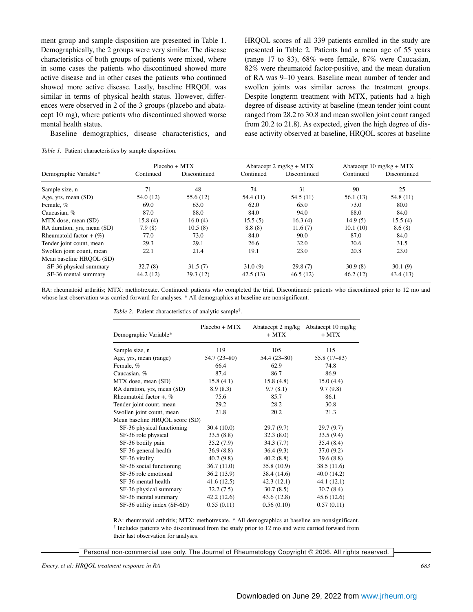ment group and sample disposition are presented in Table 1. Demographically, the 2 groups were very similar. The disease characteristics of both groups of patients were mixed, where in some cases the patients who discontinued showed more active disease and in other cases the patients who continued showed more active disease. Lastly, baseline HRQOL was similar in terms of physical health status. However, differences were observed in 2 of the 3 groups (placebo and abatacept 10 mg), where patients who discontinued showed worse mental health status.

Baseline demographics, disease characteristics, and

*Table 1.* Patient characteristics by sample disposition.

HRQOL scores of all 339 patients enrolled in the study are presented in Table 2. Patients had a mean age of 55 years (range 17 to 83), 68% were female, 87% were Caucasian, 82% were rheumatoid factor-positive, and the mean duration of RA was 9–10 years. Baseline mean number of tender and swollen joints was similar across the treatment groups. Despite longterm treatment with MTX, patients had a high degree of disease activity at baseline (mean tender joint count ranged from 28.2 to 30.8 and mean swollen joint count ranged from 20.2 to 21.8). As expected, given the high degree of disease activity observed at baseline, HRQOL scores at baseline

|                             |           | $Placebo + MTX$ |           | Abatacept $2 \text{ mg/kg} + \text{MTX}$ | Abatacept 10 mg/kg + $MTX$ |              |  |
|-----------------------------|-----------|-----------------|-----------|------------------------------------------|----------------------------|--------------|--|
| Demographic Variable*       | Continued | Discontinued    | Continued | Discontinued                             | Continued                  | Discontinued |  |
| Sample size, n              | 71        | 48              | 74        | 31                                       | 90                         | 25           |  |
| Age, yrs, mean (SD)         | 54.0 (12) | 55.6 (12)       | 54.4(11)  | 54.5(11)                                 | 56.1(13)                   | 54.8 (11)    |  |
| Female, %                   | 69.0      | 63.0            | 62.0      | 65.0                                     | 73.0                       | 80.0         |  |
| Caucasian, %                | 87.0      | 88.0            | 84.0      | 94.0                                     | 88.0                       | 84.0         |  |
| MTX dose, mean (SD)         | 15.8(4)   | 16.0(4)         | 15.5(5)   | 16.3(4)                                  | 14.9(5)                    | 15.5(4)      |  |
| RA duration, yrs, mean (SD) | 7.9(8)    | 10.5(8)         | 8.8(8)    | 11.6(7)                                  | 10.1(10)                   | 8.6(8)       |  |
| Rheumatoid factor + $(\%)$  | 77.0      | 73.0            | 84.0      | 90.0                                     | 87.0                       | 84.0         |  |
| Tender joint count, mean    | 29.3      | 29.1            | 26.6      | 32.0                                     | 30.6                       | 31.5         |  |
| Swollen joint count, mean   | 22.1      | 21.4            | 19.1      | 23.0                                     | 20.8                       | 23.0         |  |
| Mean baseline HRQOL (SD)    |           |                 |           |                                          |                            |              |  |
| SF-36 physical summary      | 32.7(8)   | 31.5(7)         | 31.0(9)   | 29.8(7)                                  | 30.9(8)                    | 30.1(9)      |  |
| SF-36 mental summary        | 44.2 (12) | 39.3 (12)       | 42.5(13)  | 46.5(12)                                 | 46.2(12)                   | 43.4(13)     |  |

RA: rheumatoid arthritis; MTX: methotrexate. Continued: patients who completed the trial. Discontinued: patients who discontinued prior to 12 mo and whose last observation was carried forward for analyses. \* All demographics at baseline are nonsignificant.

|  |  | Table 2. Patient characteristics of analytic sample <sup>†</sup> . |  |  |
|--|--|--------------------------------------------------------------------|--|--|
|--|--|--------------------------------------------------------------------|--|--|

| $Placebo + MTX$ | $+$ MTX                        | Abatacept 2 mg/kg Abatacept 10 mg/kg<br>$+$ MTX |
|-----------------|--------------------------------|-------------------------------------------------|
| 119             | 105                            | 115                                             |
| $54.7(23-80)$   | 54.4 (23-80)                   | 55.8 (17–83)                                    |
| 66.4            | 62.9                           | 74.8                                            |
| 87.4            | 86.7                           | 86.9                                            |
| 15.8(4.1)       | 15.8(4.8)                      | 15.0(4.4)                                       |
| 8.9(8.3)        | 9.7(8.1)                       | 9.7(9.8)                                        |
| 75.6            | 85.7                           | 86.1                                            |
| 29.2            | 28.2                           | 30.8                                            |
| 21.8            | 20.2                           | 21.3                                            |
|                 |                                |                                                 |
| 30.4(10.0)      | 29.7(9.7)                      | 29.7(9.7)                                       |
| 33.5(8.8)       | 32.3(8.0)                      | 33.5(9.4)                                       |
| 35.2(7.9)       | 34.3(7.7)                      | 35.4(8.4)                                       |
| 36.9(8.8)       | 36.4(9.3)                      | 37.0(9.2)                                       |
| 40.2(9.8)       | 40.2(8.8)                      | 39.6(8.8)                                       |
| 36.7(11.0)      | 35.8 (10.9)                    | 38.5 (11.6)                                     |
| 36.2(13.9)      | 38.4 (14.6)                    | 40.0(14.2)                                      |
| 41.6 (12.5)     | 42.3(12.1)                     | 44.1 (12.1)                                     |
| 32.2(7.5)       | 30.7(8.5)                      | 30.7(8.4)                                       |
| 42.2(12.6)      | 43.6(12.8)                     | 45.6(12.6)                                      |
| 0.55(0.11)      | 0.56(0.10)                     | 0.57(0.11)                                      |
|                 | Mean baseline HRQOL score (SD) |                                                 |

RA: rheumatoid arthritis; MTX: methotrexate. \* All demographics at baseline are nonsignificant. † Includes patients who discontinued from the study prior to 12 mo and were carried forward from their last observation for analyses.

Personal non-commercial use only. The Journal of Rheumatology Copyright © 2006. All rights reserved.

*Emery, et al: HRQOL treatment response in RA 683*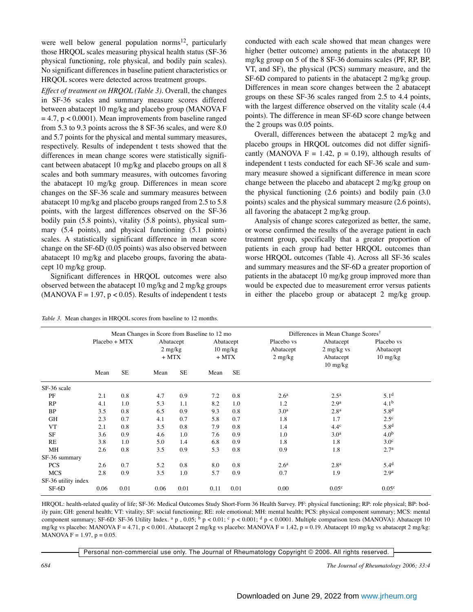were well below general population norms<sup>12</sup>, particularly those HRQOL scales measuring physical health status (SF-36 physical functioning, role physical, and bodily pain scales). No significant differences in baseline patient characteristics or HRQOL scores were detected across treatment groups.

*Effect of treatment on HRQOL (Table 3).* Overall, the changes in SF-36 scales and summary measure scores differed between abatacept 10 mg/kg and placebo group (MANOVA F  $= 4.7$ ,  $p < 0.0001$ ). Mean improvements from baseline ranged from 5.3 to 9.3 points across the 8 SF-36 scales, and were 8.0 and 5.7 points for the physical and mental summary measures, respectively. Results of independent t tests showed that the differences in mean change scores were statistically significant between abatacept 10 mg/kg and placebo groups on all 8 scales and both summary measures, with outcomes favoring the abatacept 10 mg/kg group. Differences in mean score changes on the SF-36 scale and summary measures between abatacept 10 mg/kg and placebo groups ranged from 2.5 to 5.8 points, with the largest differences observed on the SF-36 bodily pain (5.8 points), vitality (5.8 points), physical summary (5.4 points), and physical functioning (5.1 points) scales. A statistically significant difference in mean score change on the SF-6D (0.05 points) was also observed between abatacept 10 mg/kg and placebo groups, favoring the abatacept 10 mg/kg group.

Significant differences in HRQOL outcomes were also observed between the abatacept 10 mg/kg and 2 mg/kg groups (MANOVA  $F = 1.97$ ,  $p < 0.05$ ). Results of independent t tests

*Table 3*. Mean changes in HRQOL scores from baseline to 12 months.

conducted with each scale showed that mean changes were higher (better outcome) among patients in the abatacept 10 mg/kg group on 5 of the 8 SF-36 domains scales (PF, RP, BP, VT, and SF), the physical (PCS) summary measure, and the SF-6D compared to patients in the abatacept 2 mg/kg group. Differences in mean score changes between the 2 abatacept groups on these SF-36 scales ranged from 2.5 to 4.4 points, with the largest difference observed on the vitality scale (4.4 points). The difference in mean SF-6D score change between the 2 groups was 0.05 points.

Overall, differences between the abatacept 2 mg/kg and placebo groups in HRQOL outcomes did not differ significantly (MANOVA  $F = 1.42$ ,  $p = 0.19$ ), although results of independent t tests conducted for each SF-36 scale and summary measure showed a significant difference in mean score change between the placebo and abatacept 2 mg/kg group on the physical functioning (2.6 points) and bodily pain (3.0 points) scales and the physical summary measure (2.6 points), all favoring the abatacept 2 mg/kg group.

Analysis of change scores categorized as better, the same, or worse confirmed the results of the average patient in each treatment group, specifically that a greater proportion of patients in each group had better HRQOL outcomes than worse HRQOL outcomes (Table 4). Across all SF-36 scales and summary measures and the SF-6D a greater proportion of patients in the abatacept 10 mg/kg group improved more than would be expected due to measurement error versus patients in either the placebo group or abatacept 2 mg/kg group.

|                     | Mean Changes in Score from Baseline to 12 mo |           |                                   |           |      |                                            | Differences in Mean Change Scores <sup>†</sup> |                                                              |                                               |
|---------------------|----------------------------------------------|-----------|-----------------------------------|-----------|------|--------------------------------------------|------------------------------------------------|--------------------------------------------------------------|-----------------------------------------------|
|                     | Placebo + MTX                                |           | Abatacept<br>$2$ mg/kg<br>$+$ MTX |           |      | Abatacept<br>$10 \text{ mg/kg}$<br>$+$ MTX | Placebo vs<br>Abatacept<br>$2 \text{ mg/kg}$   | Abatacept<br>$2$ mg/kg vs<br>Abatacept<br>$10 \text{ mg/kg}$ | Placebo vs<br>Abatacept<br>$10 \text{ mg/kg}$ |
|                     | Mean                                         | <b>SE</b> | Mean                              | <b>SE</b> | Mean | <b>SE</b>                                  |                                                |                                                              |                                               |
| SF-36 scale         |                                              |           |                                   |           |      |                                            |                                                |                                                              |                                               |
| PF                  | 2.1                                          | 0.8       | 4.7                               | 0.9       | 7.2  | 0.8                                        | 2.6 <sup>a</sup>                               | 2.5 <sup>a</sup>                                             | 5.1 <sup>d</sup>                              |
| RP                  | 4.1                                          | 1.0       | 5.3                               | 1.1       | 8.2  | 1.0                                        | 1.2                                            | 2.9 <sup>a</sup>                                             | 4.1 <sup>b</sup>                              |
| <b>BP</b>           | 3.5                                          | 0.8       | 6.5                               | 0.9       | 9.3  | 0.8                                        | 3.0 <sup>a</sup>                               | 2.8 <sup>a</sup>                                             | 5.8 <sup>d</sup>                              |
| <b>GH</b>           | 2.3                                          | 0.7       | 4.1                               | 0.7       | 5.8  | 0.7                                        | 1.8                                            | 1.7                                                          | $2.5^{\circ}$                                 |
| <b>VT</b>           | 2.1                                          | 0.8       | 3.5                               | 0.8       | 7.9  | 0.8                                        | 1.4                                            | 4.4 <sup>c</sup>                                             | 5.8 <sup>d</sup>                              |
| <b>SF</b>           | 3.6                                          | 0.9       | 4.6                               | 1.0       | 7.6  | 0.9                                        | 1.0                                            | 3.0 <sup>a</sup>                                             | 4.0 <sup>b</sup>                              |
| RE                  | 3.8                                          | 1.0       | 5.0                               | 1.4       | 6.8  | 0.9                                        | 1.8                                            | 1.8                                                          | 3.0 <sup>c</sup>                              |
| MH                  | 2.6                                          | 0.8       | 3.5                               | 0.9       | 5.3  | 0.8                                        | 0.9                                            | 1.8                                                          | 2.7 <sup>a</sup>                              |
| SF-36 summary       |                                              |           |                                   |           |      |                                            |                                                |                                                              |                                               |
| <b>PCS</b>          | 2.6                                          | 0.7       | 5.2                               | 0.8       | 8.0  | 0.8                                        | 2.6 <sup>a</sup>                               | 2.8 <sup>a</sup>                                             | 5.4 <sup>d</sup>                              |
| <b>MCS</b>          | 2.8                                          | 0.9       | 3.5                               | 1.0       | 5.7  | 0.9                                        | 0.7                                            | 1.9                                                          | 2.9 <sup>a</sup>                              |
| SF-36 utility index |                                              |           |                                   |           |      |                                            |                                                |                                                              |                                               |
| $SF-6D$             | 0.06                                         | 0.01      | 0.06                              | 0.01      | 0.11 | 0.01                                       | 0.00                                           | 0.05 <sup>c</sup>                                            | 0.05 <sup>c</sup>                             |

HRQOL: health-related quality of life; SF-36: Medical Outcomes Study Short-Form 36 Health Survey. PF: physical functioning; RP: role physical; BP: bodily pain; GH: general health; VT: vitality; SF: social functioning; RE: role emotional; MH: mental health; PCS: physical component summary; MCS: mental component summary; SF-6D: SF-36 Utility Index. <sup>a</sup> p , 0.05; <sup>b</sup> p < 0.01; <sup>c</sup> p < 0.001; <sup>d</sup> p < 0.0001. Multiple comparison tests (MANOVA): Abatacept 10 mg/kg vs placebo: MANOVA F = 4.71, p < 0.001. Abatacept 2 mg/kg vs placebo: MANOVA F = 1.42, p = 0.19. Abatacept 10 mg/kg vs abatacept 2 mg/kg: MANOVA  $F = 1.97$ ,  $p = 0.05$ .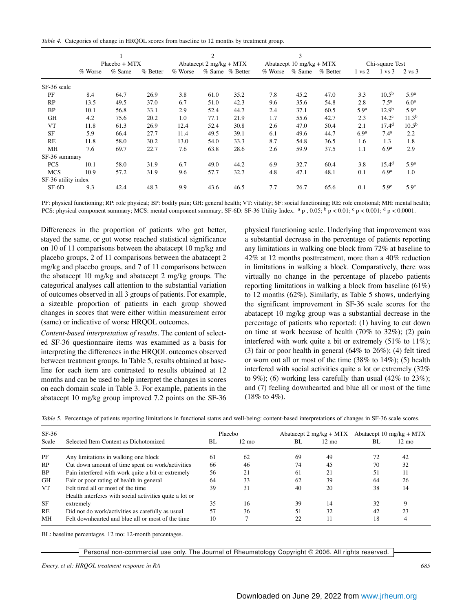*Table 4.* Categories of change in HRQOL scores from baseline to 12 months by treatment group.

|                     | $Placebo + MTX$ |          |            | 2<br>Abatacept $2 \text{ mg/kg} + \text{MTX}$ |      |                 |                          | 3        |            |                   |                   |                   |
|---------------------|-----------------|----------|------------|-----------------------------------------------|------|-----------------|--------------------------|----------|------------|-------------------|-------------------|-------------------|
|                     |                 |          |            |                                               |      |                 | Abatacept 10 mg/kg + MTX |          |            | Chi-square Test   |                   |                   |
|                     | % Worse         | $%$ Same | $%$ Better | % Worse                                       |      | % Same % Better | $%$ Worse                | $%$ Same | $%$ Better | $1 \text{ vs } 2$ | $1 \text{ vs } 3$ | 2 vs 3            |
| SF-36 scale         |                 |          |            |                                               |      |                 |                          |          |            |                   |                   |                   |
| PF                  | 8.4             | 64.7     | 26.9       | 3.8                                           | 61.0 | 35.2            | 7.8                      | 45.2     | 47.0       | 3.3               | 10.5 <sup>b</sup> | 5.9 <sup>a</sup>  |
| RP                  | 13.5            | 49.5     | 37.0       | 6.7                                           | 51.0 | 42.3            | 9.6                      | 35.6     | 54.8       | 2.8               | 7.5 <sup>a</sup>  | 6.0 <sup>a</sup>  |
| <b>BP</b>           | 10.1            | 56.8     | 33.1       | 2.9                                           | 52.4 | 44.7            | 2.4                      | 37.1     | 60.5       | 5.9 <sup>a</sup>  | 12.9 <sup>b</sup> | 5.9 <sup>a</sup>  |
| <b>GH</b>           | 4.2             | 75.6     | 20.2       | 1.0                                           | 77.1 | 21.9            | 1.7                      | 55.6     | 42.7       | 2.3               | 14.2 <sup>c</sup> | 11.3 <sup>b</sup> |
| <b>VT</b>           | 11.8            | 61.3     | 26.9       | 12.4                                          | 52.4 | 30.8            | 2.6                      | 47.0     | 50.4       | 2.1               | 17.4 <sup>d</sup> | 10.5 <sup>b</sup> |
| <b>SF</b>           | 5.9             | 66.4     | 27.7       | 11.4                                          | 49.5 | 39.1            | 6.1                      | 49.6     | 44.7       | 6.9 <sup>a</sup>  | 7.4 <sup>a</sup>  | 2.2               |
| RE                  | 11.8            | 58.0     | 30.2       | 13.0                                          | 54.0 | 33.3            | 8.7                      | 54.8     | 36.5       | 1.6               | 1.3               | 1.8               |
| <b>MH</b>           | 7.6             | 69.7     | 22.7       | 7.6                                           | 63.8 | 28.6            | 2.6                      | 59.9     | 37.5       | 1.1               | 6.9 <sup>a</sup>  | 2.9               |
| SF-36 summary       |                 |          |            |                                               |      |                 |                          |          |            |                   |                   |                   |
| <b>PCS</b>          | 10.1            | 58.0     | 31.9       | 6.7                                           | 49.0 | 44.2            | 6.9                      | 32.7     | 60.4       | 3.8               | 15.4 <sup>d</sup> | 5.9 <sup>a</sup>  |
| <b>MCS</b>          | 10.9            | 57.2     | 31.9       | 9.6                                           | 57.7 | 32.7            | 4.8                      | 47.1     | 48.1       | 0.1               | 6.9 <sup>a</sup>  | 1.0               |
| SF-36 utility index |                 |          |            |                                               |      |                 |                          |          |            |                   |                   |                   |
| $SF-6D$             | 9.3             | 42.4     | 48.3       | 9.9                                           | 43.6 | 46.5            | 7.7                      | 26.7     | 65.6       | 0.1               | 5.9 <sup>c</sup>  | 5.9 <sup>c</sup>  |

PF: physical functioning; RP: role physical; BP: bodily pain; GH: general health; VT: vitality; SF: social functioning; RE: role emotional; MH: mental health; PCS: physical component summary; MCS: mental component summary; SF-6D: SF-36 Utility Index.  $a_p$ , 0.05;  $b_p$  < 0.01;  $c_p$  < 0.001;  $d_p$  < 0.001;  $d_p$  < 0.0001.

Differences in the proportion of patients who got better, stayed the same, or got worse reached statistical significance on 10 of 11 comparisons between the abatacept 10 mg/kg and placebo groups, 2 of 11 comparisons between the abatacept 2 mg/kg and placebo groups, and 7 of 11 comparisons between the abatacept 10 mg/kg and abatacept 2 mg/kg groups. The categorical analyses call attention to the substantial variation of outcomes observed in all 3 groups of patients. For example, a sizeable proportion of patients in each group showed changes in scores that were either within measurement error (same) or indicative of worse HRQOL outcomes.

*Content-based interpretation of results.* The content of selected SF-36 questionnaire items was examined as a basis for interpreting the differences in the HRQOL outcomes observed between treatment groups. In Table 5, results obtained at baseline for each item are contrasted to results obtained at 12 months and can be used to help interpret the changes in scores on each domain scale in Table 3. For example, patients in the abatacept 10 mg/kg group improved 7.2 points on the SF-36 physical functioning scale. Underlying that improvement was a substantial decrease in the percentage of patients reporting any limitations in walking one block from 72% at baseline to 42% at 12 months posttreatment, more than a 40% reduction in limitations in walking a block. Comparatively, there was virtually no change in the percentage of placebo patients reporting limitations in walking a block from baseline (61%) to 12 months (62%). Similarly, as Table 5 shows, underlying the significant improvement in SF-36 scale scores for the abatacept 10 mg/kg group was a substantial decrease in the percentage of patients who reported: (1) having to cut down on time at work because of health (70% to 32%); (2) pain interfered with work quite a bit or extremely (51% to 11%); (3) fair or poor health in general (64% to 26%); (4) felt tired or worn out all or most of the time (38% to 14%); (5) health interfered with social activities quite a lot or extremely (32% to 9%); (6) working less carefully than usual  $(42\%$  to  $23\%)$ ; and (7) feeling downhearted and blue all or most of the time (18% to 4%).

| Table 5. Percentage of patients reporting limitations in functional status and well-being: content-based interpretations of changes in SF-36 scale scores. |  |
|------------------------------------------------------------------------------------------------------------------------------------------------------------|--|
|------------------------------------------------------------------------------------------------------------------------------------------------------------|--|

| $SF-36$<br>Scale | Selected Item Content as Dichotomized                   | Placebo<br>BL |    | BL. | Abatacept $2 \text{ mg/kg} + \text{MTX}$<br>$12 \text{ mo}$ |    | Abatacept 10 mg/kg + $MTX$<br>$12 \text{ mo}$ |
|------------------|---------------------------------------------------------|---------------|----|-----|-------------------------------------------------------------|----|-----------------------------------------------|
| PF               | Any limitations in walking one block                    | 61            | 62 | 69  | 49                                                          | 72 | 42                                            |
| RP               | Cut down amount of time spent on work/activities        | 66            | 46 | 74  | 45                                                          | 70 | 32                                            |
| <b>BP</b>        | Pain interfered with work quite a bit or extremely      | 56            | 21 | 61  | 21                                                          | 51 | 11                                            |
| GH               | Fair or poor rating of health in general                | 64            | 33 | 62  | 39                                                          | 64 | 26                                            |
| <b>VT</b>        | Felt tired all or most of the time                      | 39            | 31 | 40  | 20                                                          | 38 | 14                                            |
|                  | Health interferes with social activities quite a lot or |               |    |     |                                                             |    |                                               |
| SF               | extremely                                               | 35            | 16 | 39  | 14                                                          | 32 | 9                                             |
| <b>RE</b>        | Did not do work/activities as carefully as usual        | 57            | 36 | 51  | 32                                                          | 42 | 23                                            |
| MН               | Felt downhearted and blue all or most of the time       | 10            |    | 22  |                                                             | 18 | 4                                             |

BL: baseline percentages. 12 mo: 12-month percentages.

Personal non-commercial use only. The Journal of Rheumatology Copyright © 2006. All rights reserved.

*Emery, et al: HRQOL treatment response in RA 685*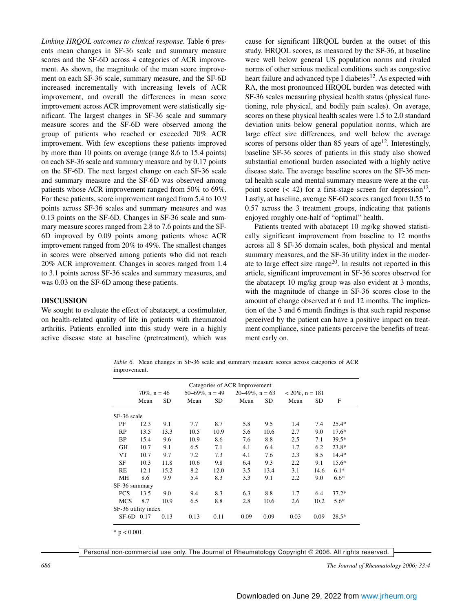*Linking HRQOL outcomes to clinical response.* Table 6 presents mean changes in SF-36 scale and summary measure scores and the SF-6D across 4 categories of ACR improvement. As shown, the magnitude of the mean score improvement on each SF-36 scale, summary measure, and the SF-6D increased incrementally with increasing levels of ACR improvement, and overall the differences in mean score improvement across ACR improvement were statistically significant. The largest changes in SF-36 scale and summary measure scores and the SF-6D were observed among the group of patients who reached or exceeded 70% ACR improvement. With few exceptions these patients improved by more than 10 points on average (range 8.6 to 15.4 points) on each SF-36 scale and summary measure and by 0.17 points on the SF-6D. The next largest change on each SF-36 scale and summary measure and the SF-6D was observed among patients whose ACR improvement ranged from 50% to 69%. For these patients, score improvement ranged from 5.4 to 10.9 points across SF-36 scales and summary measures and was 0.13 points on the SF-6D. Changes in SF-36 scale and summary measure scores ranged from 2.8 to 7.6 points and the SF-6D improved by 0.09 points among patients whose ACR improvement ranged from 20% to 49%. The smallest changes in scores were observed among patients who did not reach 20% ACR improvement. Changes in scores ranged from 1.4 to 3.1 points across SF-36 scales and summary measures, and was 0.03 on the SF-6D among these patients.

## **DISCUSSION**

We sought to evaluate the effect of abatacept, a costimulator, on health-related quality of life in patients with rheumatoid arthritis. Patients enrolled into this study were in a highly active disease state at baseline (pretreatment), which was

cause for significant HRQOL burden at the outset of this study. HRQOL scores, as measured by the SF-36, at baseline were well below general US population norms and rivaled norms of other serious medical conditions such as congestive heart failure and advanced type I diabetes<sup>12</sup>. As expected with RA, the most pronounced HRQOL burden was detected with SF-36 scales measuring physical health status (physical functioning, role physical, and bodily pain scales). On average, scores on these physical health scales were 1.5 to 2.0 standard deviation units below general population norms, which are large effect size differences, and well below the average scores of persons older than 85 years of age<sup>12</sup>. Interestingly, baseline SF-36 scores of patients in this study also showed substantial emotional burden associated with a highly active disease state. The average baseline scores on the SF-36 mental health scale and mental summary measure were at the cutpoint score (< 42) for a first-stage screen for depression  $12$ . Lastly, at baseline, average SF-6D scores ranged from 0.55 to 0.57 across the 3 treatment groups, indicating that patients enjoyed roughly one-half of "optimal" health.

Patients treated with abatacept 10 mg/kg showed statistically significant improvement from baseline to 12 months across all 8 SF-36 domain scales, both physical and mental summary measures, and the SF-36 utility index in the moderate to large effect size range<sup>20</sup>. In results not reported in this article, significant improvement in SF-36 scores observed for the abatacept 10 mg/kg group was also evident at 3 months, with the magnitude of change in SF-36 scores close to the amount of change observed at 6 and 12 months. The implication of the 3 and 6 month findings is that such rapid response perceived by the patient can have a positive impact on treatment compliance, since patients perceive the benefits of treatment early on.

*Table 6.* Mean changes in SF-36 scale and summary measure scores across categories of ACR improvement.

|                     |                 |           |                      |      | Categories of ACR Improvement |           |                    |      |         |  |
|---------------------|-----------------|-----------|----------------------|------|-------------------------------|-----------|--------------------|------|---------|--|
|                     | $70\%$ , n = 46 |           | $50-69\%$ , $n = 49$ |      | $20-49\%$ , n = 63            |           | $< 20\%$ , n = 181 |      |         |  |
|                     | Mean            | <b>SD</b> | Mean                 | SD   | Mean                          | <b>SD</b> | Mean               | SD   | F       |  |
| SF-36 scale         |                 |           |                      |      |                               |           |                    |      |         |  |
| PF                  | 12.3            | 9.1       | 7.7                  | 8.7  | 5.8                           | 9.5       | 1.4                | 7.4  | $25.4*$ |  |
| RP                  | 13.5            | 13.3      | 10.5                 | 10.9 | 5.6                           | 10.6      | 2.7                | 9.0  | $17.6*$ |  |
| BP                  | 15.4            | 9.6       | 10.9                 | 8.6  | 7.6                           | 8.8       | 2.5                | 7.1  | 39.5*   |  |
| GH                  | 10.7            | 9.1       | 6.5                  | 7.1  | 4.1                           | 6.4       | 1.7                | 6.2  | $23.8*$ |  |
| VT                  | 10.7            | 9.7       | 7.2                  | 7.3  | 4.1                           | 7.6       | 2.3                | 8.5  | $14.4*$ |  |
| SF                  | 10.3            | 11.8      | 10.6                 | 9.8  | 6.4                           | 9.3       | 2.2                | 9.1  | $15.6*$ |  |
| RE                  | 12.1            | 15.2      | 8.2                  | 12.0 | 3.5                           | 13.4      | 3.1                | 14.6 | $6.1*$  |  |
| <b>MH</b>           | 8.6             | 9.9       | 5.4                  | 8.3  | 3.3                           | 9.1       | 2.2                | 9.0  | $6.6*$  |  |
| SF-36 summary       |                 |           |                      |      |                               |           |                    |      |         |  |
| <b>PCS</b>          | 13.5            | 9.0       | 9.4                  | 8.3  | 6.3                           | 8.8       | 1.7                | 6.4  | $37.2*$ |  |
| <b>MCS</b>          | 8.7             | 10.9      | 6.5                  | 8.8  | 2.8                           | 10.6      | 2.6                | 10.2 | $5.6*$  |  |
| SF-36 utility index |                 |           |                      |      |                               |           |                    |      |         |  |
| SF-6D 0.17          |                 | 0.13      | 0.13                 | 0.11 | 0.09                          | 0.09      | 0.03               | 0.09 | $28.5*$ |  |
| * $p < 0.001$ .     |                 |           |                      |      |                               |           |                    |      |         |  |

Personal non-commercial use only. The Journal of Rheumatology Copyright © 2006. All rights reserved.

*686 The Journal of Rheumatology 2006; 33:4*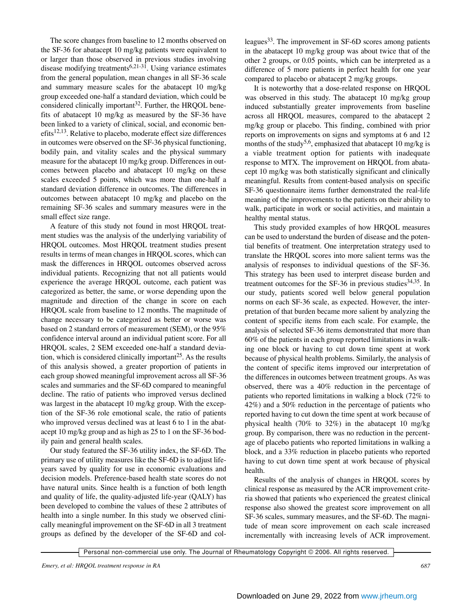The score changes from baseline to 12 months observed on the SF-36 for abatacept 10 mg/kg patients were equivalent to or larger than those observed in previous studies involving disease modifying treatments<sup>6,21-31</sup>. Using variance estimates from the general population, mean changes in all SF-36 scale and summary measure scales for the abatacept 10 mg/kg group exceeded one-half a standard deviation, which could be considered clinically important<sup>32</sup>. Further, the HROOL benefits of abatacept 10 mg/kg as measured by the SF-36 have been linked to a variety of clinical, social, and economic ben $efits^{12,13}$ . Relative to placebo, moderate effect size differences in outcomes were observed on the SF-36 physical functioning, bodily pain, and vitality scales and the physical summary measure for the abatacept 10 mg/kg group. Differences in outcomes between placebo and abatacept 10 mg/kg on these scales exceeded 5 points, which was more than one-half a standard deviation difference in outcomes. The differences in outcomes between abatacept 10 mg/kg and placebo on the remaining SF-36 scales and summary measures were in the small effect size range.

A feature of this study not found in most HRQOL treatment studies was the analysis of the underlying variability of HRQOL outcomes. Most HRQOL treatment studies present results in terms of mean changes in HRQOL scores, which can mask the differences in HRQOL outcomes observed across individual patients. Recognizing that not all patients would experience the average HRQOL outcome, each patient was categorized as better, the same, or worse depending upon the magnitude and direction of the change in score on each HRQOL scale from baseline to 12 months. The magnitude of change necessary to be categorized as better or worse was based on 2 standard errors of measurement (SEM), or the 95% confidence interval around an individual patient score. For all HRQOL scales, 2 SEM exceeded one-half a standard deviation, which is considered clinically important<sup>25</sup>. As the results of this analysis showed, a greater proportion of patients in each group showed meaningful improvement across all SF-36 scales and summaries and the SF-6D compared to meaningful decline. The ratio of patients who improved versus declined was largest in the abatacept 10 mg/kg group. With the exception of the SF-36 role emotional scale, the ratio of patients who improved versus declined was at least 6 to 1 in the abatacept 10 mg/kg group and as high as 25 to 1 on the SF-36 bodily pain and general health scales.

Our study featured the SF-36 utility index, the SF-6D. The primary use of utility measures like the SF-6D is to adjust lifeyears saved by quality for use in economic evaluations and decision models. Preference-based health state scores do not have natural units. Since health is a function of both length and quality of life, the quality-adjusted life-year (QALY) has been developed to combine the values of these 2 attributes of health into a single number. In this study we observed clinically meaningful improvement on the SF-6D in all 3 treatment groups as defined by the developer of the SF-6D and colleagues<sup>33</sup>. The improvement in SF-6D scores among patients in the abatacept 10 mg/kg group was about twice that of the other 2 groups, or 0.05 points, which can be interpreted as a difference of 5 more patients in perfect health for one year compared to placebo or abatacept 2 mg/kg groups.

It is noteworthy that a dose-related response on HRQOL was observed in this study. The abatacept 10 mg/kg group induced substantially greater improvements from baseline across all HRQOL measures, compared to the abatacept 2 mg/kg group or placebo. This finding, combined with prior reports on improvements on signs and symptoms at 6 and 12 months of the study<sup>5,6</sup>, emphasized that abatacept 10 mg/kg is a viable treatment option for patients with inadequate response to MTX. The improvement on HRQOL from abatacept 10 mg/kg was both statistically significant and clinically meaningful. Results from content-based analysis on specific SF-36 questionnaire items further demonstrated the real-life meaning of the improvements to the patients on their ability to walk, participate in work or social activities, and maintain a healthy mental status.

This study provided examples of how HRQOL measures can be used to understand the burden of disease and the potential benefits of treatment. One interpretation strategy used to translate the HRQOL scores into more salient terms was the analysis of responses to individual questions of the SF-36. This strategy has been used to interpret disease burden and treatment outcomes for the SF-36 in previous studies<sup>34,35</sup>. In our study, patients scored well below general population norms on each SF-36 scale, as expected. However, the interpretation of that burden became more salient by analyzing the content of specific items from each scale. For example, the analysis of selected SF-36 items demonstrated that more than 60% of the patients in each group reported limitations in walking one block or having to cut down time spent at work because of physical health problems. Similarly, the analysis of the content of specific items improved our interpretation of the differences in outcomes between treatment groups. As was observed, there was a 40% reduction in the percentage of patients who reported limitations in walking a block (72% to 42%) and a 50% reduction in the percentage of patients who reported having to cut down the time spent at work because of physical health (70% to 32%) in the abatacept 10 mg/kg group. By comparison, there was no reduction in the percentage of placebo patients who reported limitations in walking a block, and a 33% reduction in placebo patients who reported having to cut down time spent at work because of physical health.

Results of the analysis of changes in HRQOL scores by clinical response as measured by the ACR improvement criteria showed that patients who experienced the greatest clinical response also showed the greatest score improvement on all SF-36 scales, summary measures, and the SF-6D. The magnitude of mean score improvement on each scale increased incrementally with increasing levels of ACR improvement.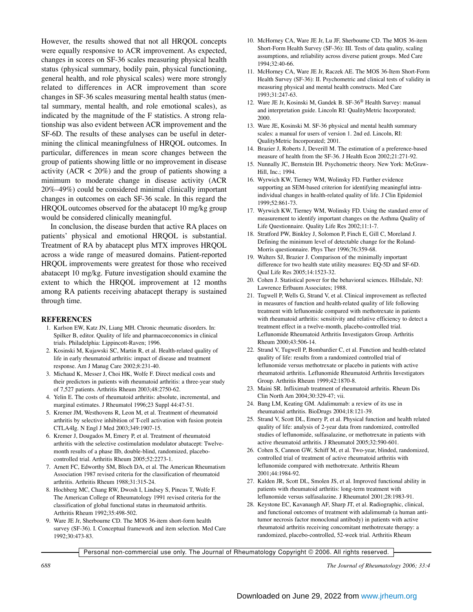However, the results showed that not all HRQOL concepts were equally responsive to ACR improvement. As expected, changes in scores on SF-36 scales measuring physical health status (physical summary, bodily pain, physical functioning, general health, and role physical scales) were more strongly related to differences in ACR improvement than score changes in SF-36 scales measuring mental health status (mental summary, mental health, and role emotional scales), as indicated by the magnitude of the F statistics. A strong relationship was also evident between ACR improvement and the SF-6D. The results of these analyses can be useful in determining the clinical meaningfulness of HRQOL outcomes. In particular, differences in mean score changes between the group of patients showing little or no improvement in disease activity  $(ACR < 20\%)$  and the group of patients showing a minimum to moderate change in disease activity (ACR 20%–49%) could be considered minimal clinically important changes in outcomes on each SF-36 scale. In this regard the HRQOL outcomes observed for the abatacept 10 mg/kg group would be considered clinically meaningful.

In conclusion, the disease burden that active RA places on patients' physical and emotional HRQOL is substantial. Treatment of RA by abatacept plus MTX improves HRQOL across a wide range of measured domains. Patient-reported HRQOL improvements were greatest for those who received abatacept 10 mg/kg. Future investigation should examine the extent to which the HRQOL improvement at 12 months among RA patients receiving abatacept therapy is sustained through time.

#### **REFERENCES**

- 1. Karlson EW, Katz JN, Liang MH. Chronic rheumatic disorders. In: Spilker B, editor. Quality of life and pharmacoeconomics in clinical trials. Philadelphia: Lippincott-Raven; 1996.
- 2. Kosinski M, Kujawski SC, Martin R, et al. Health-related quality of life in early rheumatoid arthritis: impact of disease and treatment response. Am J Manag Care 2002;8:231-40.
- 3. Michaud K, Messer J, Choi HK, Wolfe F. Direct medical costs and their predictors in patients with rheumatoid arthritis: a three-year study of 7,527 patients. Arthritis Rheum 2003;48:2750-62.
- 4. Yelin E. The costs of rheumatoid arthritis: absolute, incremental, and marginal estimates. J Rheumatol 1996;23 Suppl 44:47-51.
- 5. Kremer JM, Westhovens R, Leon M, et al. Treatment of rheumatoid arthritis by selective inhibition of T-cell activation with fusion protein CTLA4Ig. N Engl J Med 2003;349:1907-15.
- 6. Kremer J, Dougados M, Emery P, et al. Treatment of rheumatoid arthritis with the selective costimulation modulator abatacept: Twelvemonth results of a phase IIb, double-blind, randomized, placebocontrolled trial. Arthritis Rheum 2005;52:2273-1.
- 7. Arnett FC, Edworthy SM, Bloch DA, et al. The American Rheumatism Association 1987 revised criteria for the classification of rheumatoid arthritis. Arthritis Rheum 1988;31:315-24.
- 8. Hochberg MC, Chang RW, Dwosh I, Lindsey S, Pincus T, Wolfe F. The American College of Rheumatology 1991 revised criteria for the classification of global functional status in rheumatoid arthritis. Arthritis Rheum 1992;35:498-502.
- 9. Ware JE Jr, Sherbourne CD. The MOS 36-item short-form health survey (SF-36). I. Conceptual framework and item selection. Med Care 1992;30:473-83.
- 10. McHorney CA, Ware JE Jr, Lu JF, Sherbourne CD. The MOS 36-item Short-Form Health Survey (SF-36): III. Tests of data quality, scaling assumptions, and reliability across diverse patient groups. Med Care 1994;32:40-66.
- 11. McHorney CA, Ware JE Jr, Raczek AE. The MOS 36-Item Short-Form Health Survey (SF-36): II. Psychometric and clinical tests of validity in measuring physical and mental health constructs. Med Care 1993;31:247-63.
- 12. Ware JE Jr, Kosinski M, Gandek B. SF-36® Health Survey: manual and interpretation guide. Lincoln RI: QualityMetric Incorporated; 2000.
- 13. Ware JE, Kosinski M. SF-36 physical and mental health summary scales: a manual for users of version 1. 2nd ed. Lincoln, RI: QualityMetric Incorporated; 2001.
- 14. Brazier J, Roberts J, Deverill M. The estimation of a preference-based measure of health from the SF-36. J Health Econ 2002;21:271-92.
- 15. Nunnally JC, Bernstein IH. Psychometric theory. New York: McGraw-Hill, Inc.; 1994.
- 16. Wyrwich KW, Tierney WM, Wolinsky FD. Further evidence supporting an SEM-based criterion for identifying meaningful intraindividual changes in health-related quality of life. J Clin Epidemiol 1999;52:861-73.
- 17. Wyrwich KW, Tierney WM, Wolinsky FD. Using the standard error of measurement to identify important changes on the Asthma Quality of Life Questionnaire. Quality Life Res 2002;11:1-7.
- 18. Stratford PW, Binkley J, Solomon P, Finch E, Gill C, Moreland J. Defining the minimum level of detectable change for the Roland-Morris questionnaire. Phys Ther 1996;76:359-68.
- 19. Walters SJ, Brazier J. Comparison of the minimally important difference for two health state utility measures: EQ-5D and SF-6D. Qual Life Res 2005;14:1523-32.
- 20. Cohen J. Statistical power for the behavioral sciences. Hillsdale, NJ: Lawrence Erlbaum Associates; 1988.
- 21. Tugwell P, Wells G, Strand V, et al. Clinical improvement as reflected in measures of function and health-related quality of life following treatment with leflunomide compared with methotrexate in patients with rheumatoid arthritis: sensitivity and relative efficiency to detect a treatment effect in a twelve-month, placebo-controlled trial. Leflunomide Rheumatoid Arthritis Investigators Group. Arthritis Rheum 2000;43:506-14.
- 22. Strand V, Tugwell P, Bombardier C, et al. Function and health-related quality of life: results from a randomized controlled trial of leflunomide versus methotrexate or placebo in patients with active rheumatoid arthritis. Leflunomide Rheumatoid Arthritis Investigators Group. Arthritis Rheum 1999;42:1870-8.
- 23. Maini SR. Infliximab treatment of rheumatoid arthritis. Rheum Dis Clin North Am 2004;30:329-47; vii.
- 24. Bang LM, Keating GM. Adalimumab: a review of its use in rheumatoid arthritis. BioDrugs 2004;18:121-39.
- 25. Strand V, Scott DL, Emery P, et al. Physical function and health related quality of life: analysis of 2-year data from randomized, controlled studies of leflunomide, sulfasalazine, or methotrexate in patients with active rheumatoid arthritis. J Rheumatol 2005;32:590-601.
- 26. Cohen S, Cannon GW, Schiff M, et al. Two-year, blinded, randomized, controlled trial of treatment of active rheumatoid arthritis with leflunomide compared with methotrexate. Arthritis Rheum 2001;44:1984-92.
- 27. Kalden JR, Scott DL, Smolen JS, et al. Improved functional ability in patients with rheumatoid arthritis: long-term treatment with leflunomide versus sulfasalazine. J Rheumatol 2001;28:1983-91.
- 28. Keystone EC, Kavanaugh AF, Sharp JT, et al. Radiographic, clinical, and functional outcomes of treatment with adalimumab (a human antitumor necrosis factor monoclonal antibody) in patients with active rheumatoid arthritis receiving concomitant methotrexate therapy: a randomized, placebo-controlled, 52-week trial. Arthritis Rheum